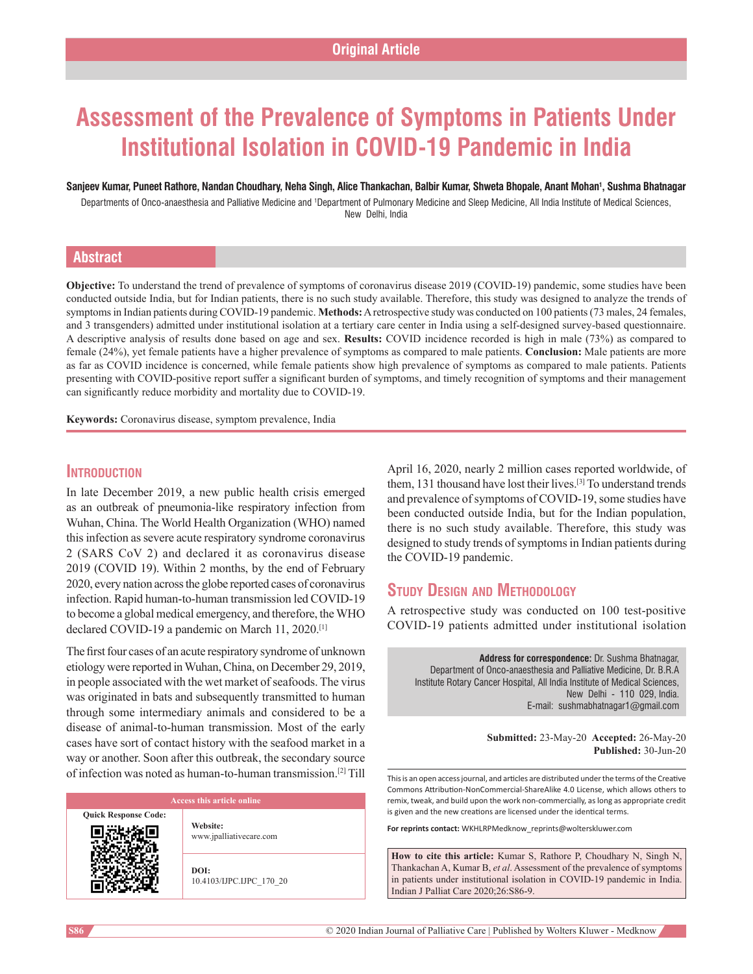# **Assessment of the Prevalence of Symptoms in Patients Under Institutional Isolation in COVID‑19 Pandemic in India**

#### **Sanjeev Kumar, Puneet Rathore, Nandan Choudhary, Neha Singh, Alice Thankachan, Balbir Kumar, Shweta Bhopale, Anant Mohan1 , Sushma Bhatnagar**

Departments of Onco-anaesthesia and Palliative Medicine and <sup>1</sup>Department of Pulmonary Medicine and Sleep Medicine, All India Institute of Medical Sciences, New Delhi, India

# **Abstract**

**Objective:** To understand the trend of prevalence of symptoms of coronavirus disease 2019 (COVID-19) pandemic, some studies have been conducted outside India, but for Indian patients, there is no such study available. Therefore, this study was designed to analyze the trends of symptoms in Indian patients during COVID-19 pandemic. Methods: A retrospective study was conducted on 100 patients (73 males, 24 females, and 3 transgenders) admitted under institutional isolation at a tertiary care center in India using a self-designed survey-based questionnaire. A descriptive analysis of results done based on age and sex. **Results:** COVID incidence recorded is high in male (73%) as compared to female (24%), yet female patients have a higher prevalence of symptoms as compared to male patients. **Conclusion:** Male patients are more as far as COVID incidence is concerned, while female patients show high prevalence of symptoms as compared to male patients. Patients presenting with COVID‑positive report suffer a significant burden of symptoms, and timely recognition of symptoms and their management can significantly reduce morbidity and mortality due to COVID-19.

**Keywords:** Coronavirus disease, symptom prevalence, India

### **Introduction**

In late December 2019, a new public health crisis emerged as an outbreak of pneumonia‑like respiratory infection from Wuhan, China. The World Health Organization (WHO) named this infection as severe acute respiratory syndrome coronavirus 2 (SARS CoV 2) and declared it as coronavirus disease 2019 (COVID 19). Within 2 months, by the end of February 2020, every nation across the globe reported cases of coronavirus infection. Rapid human-to-human transmission led COVID-19 to become a global medical emergency, and therefore, the WHO declared COVID-19 a pandemic on March 11, 2020.<sup>[1]</sup>

The first four cases of an acute respiratory syndrome of unknown etiology were reported in Wuhan, China, on December 29, 2019, in people associated with the wet market of seafoods. The virus was originated in bats and subsequently transmitted to human through some intermediary animals and considered to be a disease of animal‑to‑human transmission. Most of the early cases have sort of contact history with the seafood market in a way or another. Soon after this outbreak, the secondary source of infection was noted as human‑to‑human transmission.[2] Till

**Quick Response Code:**

**Website:** www.jpalliativecare.com

**DOI:** 10.4103/IJPC.IJPC\_170\_20 April 16, 2020, nearly 2 million cases reported worldwide, of them, 131 thousand have lost their lives.[3] To understand trends and prevalence of symptoms of COVID‑19, some studies have been conducted outside India, but for the Indian population, there is no such study available. Therefore, this study was designed to study trends of symptoms in Indian patients during the COVID-19 pandemic.

# **Study Design and Methodology**

A retrospective study was conducted on 100 test-positive COVID‑19 patients admitted under institutional isolation

**Address for correspondence:** Dr. Sushma Bhatnagar, Department of Onco‑anaesthesia and Palliative Medicine, Dr. B.R.A Institute Rotary Cancer Hospital, All India Institute of Medical Sciences, New Delhi ‑ 110 029, India. E‑mail: sushmabhatnagar1@gmail.com

> **Submitted:** 23-May-20 **Accepted:** 26-May-20 **Published:** 30-Jun-20

This is an open access journal, and articles are distributed under the terms of the Creative Commons Attribution‑NonCommercial‑ShareAlike 4.0 License, which allows others to remix, tweak, and build upon the work non‑commercially, as long as appropriate credit is given and the new creations are licensed under the identical terms.

**For reprints contact:** WKHLRPMedknow\_reprints@wolterskluwer.com

**How to cite this article:** Kumar S, Rathore P, Choudhary N, Singh N, Thankachan A, Kumar B, *et al*. Assessment of the prevalence of symptoms in patients under institutional isolation in COVID-19 pandemic in India. Indian J Palliat Care 2020;26:S86-9.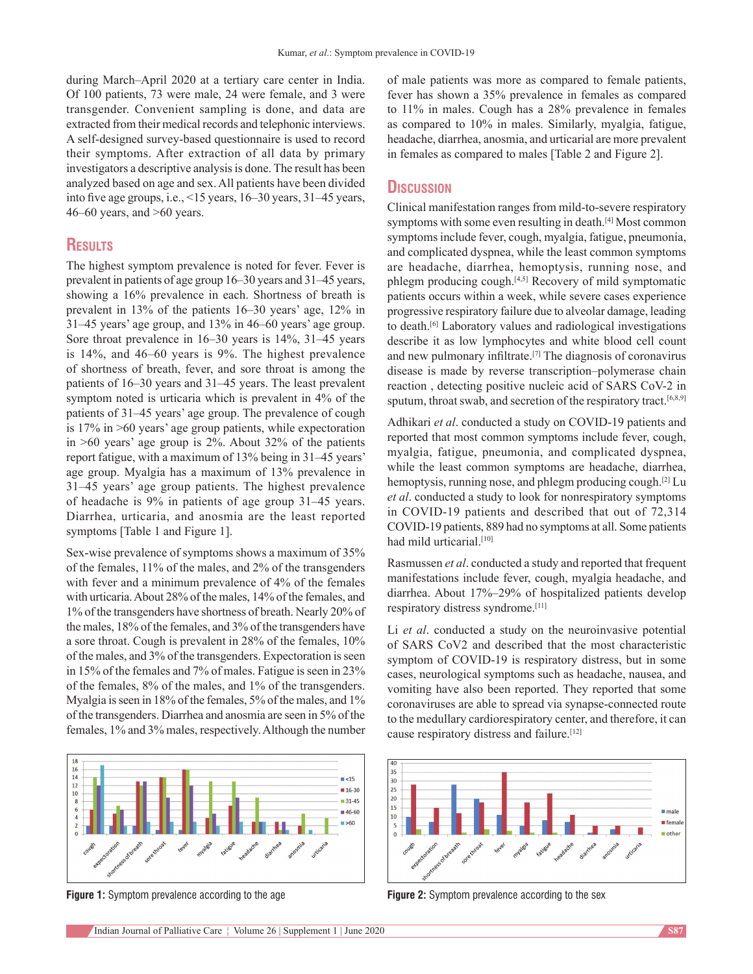during March–April 2020 at a tertiary care center in India. Of 100 patients, 73 were male, 24 were female, and 3 were transgender. Convenient sampling is done, and data are extracted from their medical records and telephonic interviews. A self‑designed survey‑based questionnaire is used to record their symptoms. After extraction of all data by primary investigators a descriptive analysis is done. The result has been analyzed based on age and sex. All patients have been divided into five age groups, i.e., <15 years, 16–30 years, 31–45 years,  $46-60$  years, and  $>60$  years.

# **Results**

The highest symptom prevalence is noted for fever. Fever is prevalent in patients of age group 16–30 years and 31–45 years, showing a 16% prevalence in each. Shortness of breath is prevalent in 13% of the patients 16–30 years' age, 12% in 31–45 years' age group, and 13% in 46–60 years' age group. Sore throat prevalence in 16–30 years is 14%, 31–45 years is 14%, and 46–60 years is 9%. The highest prevalence of shortness of breath, fever, and sore throat is among the patients of 16–30 years and 31–45 years. The least prevalent symptom noted is urticaria which is prevalent in 4% of the patients of 31–45 years' age group. The prevalence of cough is 17% in >60 years' age group patients, while expectoration in >60 years' age group is 2%. About 32% of the patients report fatigue, with a maximum of 13% being in 31–45 years' age group. Myalgia has a maximum of 13% prevalence in 31–45 years' age group patients. The highest prevalence of headache is 9% in patients of age group 31–45 years. Diarrhea, urticaria, and anosmia are the least reported symptoms [Table 1 and Figure 1].

Sex-wise prevalence of symptoms shows a maximum of 35% of the females, 11% of the males, and 2% of the transgenders with fever and a minimum prevalence of 4% of the females with urticaria. About 28% of the males, 14% of the females, and 1% of the transgenders have shortness of breath. Nearly 20% of the males, 18% of the females, and 3% of the transgenders have a sore throat. Cough is prevalent in 28% of the females, 10% of the males, and 3% of the transgenders. Expectoration is seen in 15% of the females and 7% of males. Fatigue is seen in 23% of the females, 8% of the males, and 1% of the transgenders. Myalgia is seen in 18% of the females, 5% of the males, and 1% of the transgenders. Diarrhea and anosmia are seen in 5% of the females, 1% and 3% males, respectively. Although the number



**Figure 1:** Symptom prevalence according to the age **Figure 2:** Symptom prevalence according to the sex

of male patients was more as compared to female patients, fever has shown a 35% prevalence in females as compared to 11% in males. Cough has a 28% prevalence in females as compared to 10% in males. Similarly, myalgia, fatigue, headache, diarrhea, anosmia, and urticarial are more prevalent in females as compared to males [Table 2 and Figure 2].

#### **Discussion**

Clinical manifestation ranges from mild‑to‑severe respiratory symptoms with some even resulting in death.[4] Most common symptoms include fever, cough, myalgia, fatigue, pneumonia, and complicated dyspnea, while the least common symptoms are headache, diarrhea, hemoptysis, running nose, and phlegm producing cough.[4,5] Recovery of mild symptomatic patients occurs within a week, while severe cases experience progressive respiratory failure due to alveolar damage, leading to death.[6] Laboratory values and radiological investigations describe it as low lymphocytes and white blood cell count and new pulmonary infiltrate.[7] The diagnosis of coronavirus disease is made by reverse transcription–polymerase chain reaction, detecting positive nucleic acid of SARS CoV-2 in sputum, throat swab, and secretion of the respiratory tract.<sup>[6,8,9]</sup>

Adhikari et al. conducted a study on COVID-19 patients and reported that most common symptoms include fever, cough, myalgia, fatigue, pneumonia, and complicated dyspnea, while the least common symptoms are headache, diarrhea, hemoptysis, running nose, and phlegm producing cough.<sup>[2]</sup> Lu *et al*. conducted a study to look for nonrespiratory symptoms in COVID-19 patients and described that out of 72,314 COVID‑19 patients, 889 had no symptoms at all. Some patients had mild urticarial.<sup>[10]</sup>

Rasmussen *et al*. conducted a study and reported that frequent manifestations include fever, cough, myalgia headache, and diarrhea. About 17%–29% of hospitalized patients develop respiratory distress syndrome.[11]

Li *et al*. conducted a study on the neuroinvasive potential of SARS CoV2 and described that the most characteristic symptom of COVID-19 is respiratory distress, but in some cases, neurological symptoms such as headache, nausea, and vomiting have also been reported. They reported that some coronaviruses are able to spread via synapse‑connected route to the medullary cardiorespiratory center, and therefore, it can cause respiratory distress and failure.[12]

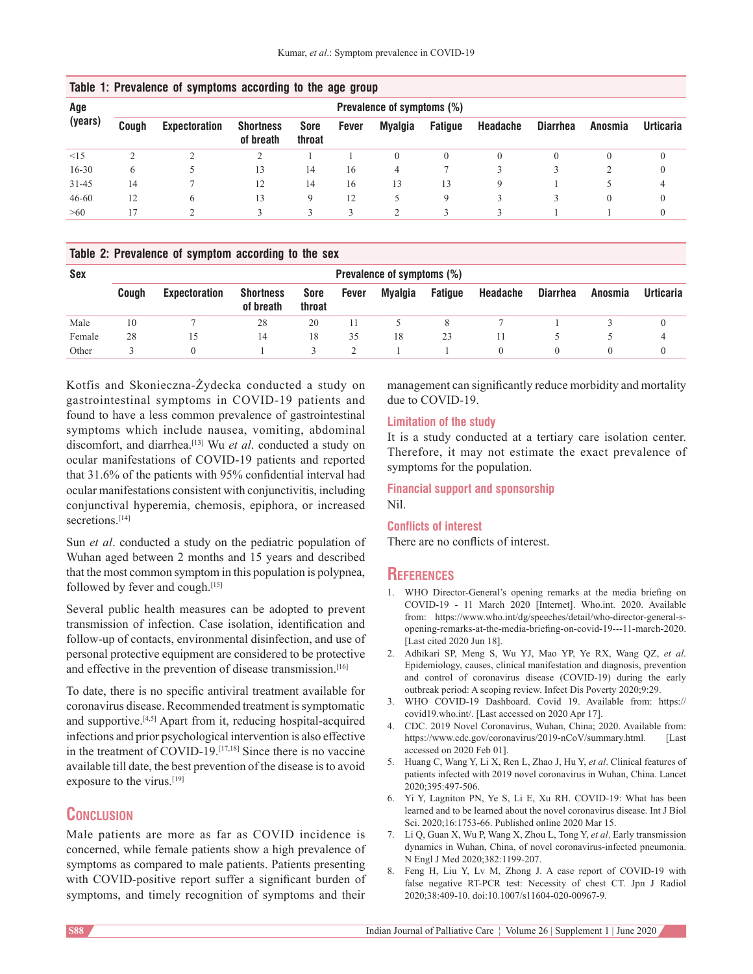| Age<br>(years) | Prevalence of symptoms (%) |                      |                               |                |       |                |                |              |                 |          |                  |
|----------------|----------------------------|----------------------|-------------------------------|----------------|-------|----------------|----------------|--------------|-----------------|----------|------------------|
|                | Cough                      | <b>Expectoration</b> | <b>Shortness</b><br>of breath | Sore<br>throat | Fever | <b>Myalgia</b> | <b>Fatigue</b> | Headache     | <b>Diarrhea</b> | Anosmia  | <b>Urticaria</b> |
| $\leq$ 15      |                            |                      |                               |                |       |                | $\theta$       | $\mathbf{0}$ |                 | $\Omega$ |                  |
| $16 - 30$      | 6                          |                      | 13                            | 14             | 16    | 4              |                |              |                 |          |                  |
| $31 - 45$      | 14                         |                      | 12                            | 14             | 16    | 13             | 13             | 9            |                 |          | 4                |
| $46 - 60$      | 12                         |                      | 13                            |                | 12    |                | 9              |              |                 | $\theta$ |                  |
| >60            | 17                         |                      |                               |                | 3     |                |                |              |                 |          |                  |

### **Table 1: Prevalence of symptoms according to the age group**

#### **Table 2: Prevalence of symptom according to the sex**

| Sex    | Prevalence of symptoms (%) |                      |                               |                |       |         |                |          |                 |         |                  |
|--------|----------------------------|----------------------|-------------------------------|----------------|-------|---------|----------------|----------|-----------------|---------|------------------|
|        | Couah                      | <b>Expectoration</b> | <b>Shortness</b><br>of breath | Sore<br>throat | Fever | Myalgia | <b>Fatique</b> | Headache | <b>Diarrhea</b> | Anosmia | <b>Urticaria</b> |
| Male   | 10                         |                      | 28                            | 20             |       |         |                |          |                 |         |                  |
| Female | 28                         | 15                   | 14                            | 18             | 35    | 18      | 23             |          |                 |         | 4                |
| Other  |                            | $\Omega$             |                               |                |       |         |                |          |                 |         |                  |

Kotfis and Skonieczna‑Żydecka conducted a study on gastrointestinal symptoms in COVID‑19 patients and found to have a less common prevalence of gastrointestinal symptoms which include nausea, vomiting, abdominal discomfort, and diarrhea.[13] Wu *et al*. conducted a study on ocular manifestations of COVID‑19 patients and reported that 31.6% of the patients with 95% confidential interval had ocular manifestations consistent with conjunctivitis, including conjunctival hyperemia, chemosis, epiphora, or increased secretions.<sup>[14]</sup>

Sun *et al*. conducted a study on the pediatric population of Wuhan aged between 2 months and 15 years and described that the most common symptom in this population is polypnea, followed by fever and cough.[15]

Several public health measures can be adopted to prevent transmission of infection. Case isolation, identification and follow‑up of contacts, environmental disinfection, and use of personal protective equipment are considered to be protective and effective in the prevention of disease transmission.<sup>[16]</sup>

To date, there is no specific antiviral treatment available for coronavirus disease. Recommended treatment is symptomatic and supportive. $[4,5]$  Apart from it, reducing hospital-acquired infections and prior psychological intervention is also effective in the treatment of COVID-19.<sup>[17,18]</sup> Since there is no vaccine available till date, the best prevention of the disease is to avoid exposure to the virus.<sup>[19]</sup>

# **Conclusion**

Male patients are more as far as COVID incidence is concerned, while female patients show a high prevalence of symptoms as compared to male patients. Patients presenting with COVID-positive report suffer a significant burden of symptoms, and timely recognition of symptoms and their

management can significantly reduce morbidity and mortality due to COVID-19.

#### **Limitation of the study**

It is a study conducted at a tertiary care isolation center. Therefore, it may not estimate the exact prevalence of symptoms for the population.

#### **Financial support and sponsorship** Nil.

#### **Conflicts of interest**

There are no conflicts of interest.

#### **References**

- 1. WHO Director-General's opening remarks at the media briefing on COVID-19 - 11 March 2020 [Internet]. Who.int. 2020. Available from: https://www.who.int/dg/speeches/detail/who-director-general-sopening-remarks-at-the-media-briefing-on-covid-19---11-march-2020. [Last cited 2020 Jun 18].
- 2. Adhikari SP, Meng S, Wu YJ, Mao YP, Ye RX, Wang QZ, *et al*. Epidemiology, causes, clinical manifestation and diagnosis, prevention and control of coronavirus disease (COVID-19) during the early outbreak period: A scoping review. Infect Dis Poverty 2020;9:29.
- 3. WHO COVID-19 Dashboard. Covid 19. Available from: https:// covid19.who.int/. [Last accessed on 2020 Apr 17].
- 4. CDC. 2019 Novel Coronavirus, Wuhan, China; 2020. Available from: https://www.cdc.gov/coronavirus/2019-nCoV/summary.html. [Last accessed on 2020 Feb 01].
- 5. Huang C, Wang Y, Li X, Ren L, Zhao J, Hu Y, *et al*. Clinical features of patients infected with 2019 novel coronavirus in Wuhan, China. Lancet 2020;395:497-506.
- 6. Yi Y, Lagniton PN, Ye S, Li E, Xu RH. COVID-19: What has been learned and to be learned about the novel coronavirus disease. Int J Biol Sci. 2020;16:1753-66. Published online 2020 Mar 15.
- 7. Li Q, Guan X, Wu P, Wang X, Zhou L, Tong Y, *et al*. Early transmission dynamics in Wuhan, China, of novel coronavirus-infected pneumonia. N Engl J Med 2020;382:1199-207.
- 8. Feng H, Liu Y, Lv M, Zhong J. A case report of COVID-19 with false negative RT-PCR test: Necessity of chest CT. Jpn J Radiol 2020;38:409-10. doi:10.1007/s11604-020-00967-9.